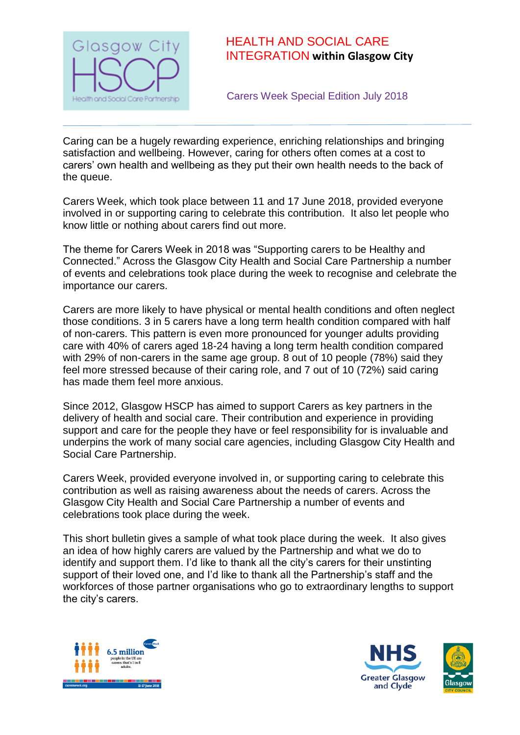

# HEALTH AND SOCIAL CARE INTEGRATION **within Glasgow City**

Carers Week Special Edition July 2018

Caring can be a hugely rewarding experience, enriching relationships and bringing satisfaction and wellbeing. However, caring for others often comes at a cost to carers' own health and wellbeing as they put their own health needs to the back of the queue.

Carers Week, which took place between 11 and 17 June 2018, provided everyone involved in or supporting caring to celebrate this contribution. It also let people who know little or nothing about carers find out more.

The theme for Carers Week in 2018 was "Supporting carers to be Healthy and Connected." Across the Glasgow City Health and Social Care Partnership a number of events and celebrations took place during the week to recognise and celebrate the importance our carers.

Carers are more likely to have physical or mental health conditions and often neglect those conditions. 3 in 5 carers have a long term health condition compared with half of non-carers. This pattern is even more pronounced for younger adults providing care with 40% of carers aged 18-24 having a long term health condition compared with 29% of non-carers in the same age group. 8 out of 10 people (78%) said they feel more stressed because of their caring role, and 7 out of 10 (72%) said caring has made them feel more anxious.

Since 2012, Glasgow HSCP has aimed to support Carers as key partners in the delivery of health and social care. Their contribution and experience in providing support and care for the people they have or feel responsibility for is invaluable and underpins the work of many social care agencies, including Glasgow City Health and Social Care Partnership.

Carers Week, provided everyone involved in, or supporting caring to celebrate this contribution as well as raising awareness about the needs of carers. Across the Glasgow City Health and Social Care Partnership a number of events and celebrations took place during the week.

This short bulletin gives a sample of what took place during the week. It also gives an idea of how highly carers are valued by the Partnership and what we do to identify and support them. I'd like to thank all the city's carers for their unstinting support of their loved one, and I'd like to thank all the Partnership's staff and the workforces of those partner organisations who go to extraordinary lengths to support the city's carers.



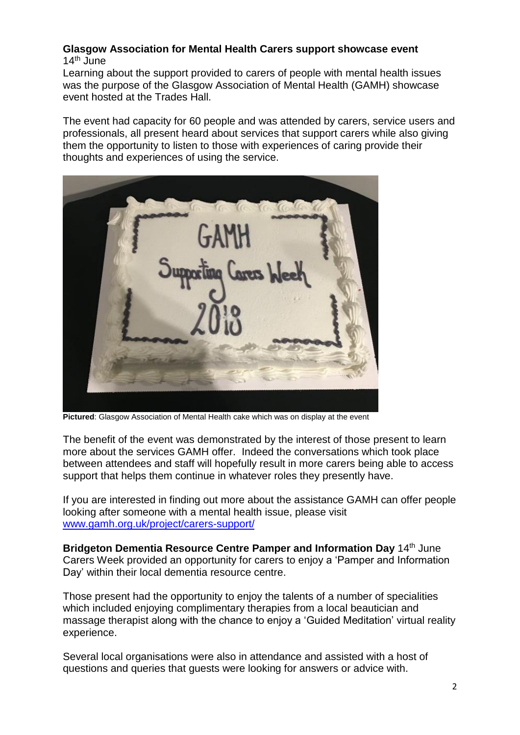### **Glasgow Association for Mental Health Carers support showcase event**  14<sup>th</sup> June

Learning about the support provided to carers of people with mental health issues was the purpose of the Glasgow Association of Mental Health (GAMH) showcase event hosted at the Trades Hall.

The event had capacity for 60 people and was attended by carers, service users and professionals, all present heard about services that support carers while also giving them the opportunity to listen to those with experiences of caring provide their thoughts and experiences of using the service.



**Pictured**: Glasgow Association of Mental Health cake which was on display at the event

The benefit of the event was demonstrated by the interest of those present to learn more about the services GAMH offer. Indeed the conversations which took place between attendees and staff will hopefully result in more carers being able to access support that helps them continue in whatever roles they presently have.

If you are interested in finding out more about the assistance GAMH can offer people looking after someone with a mental health issue, please visit [www.gamh.org.uk/project/carers-support/](http://www.gamh.org.uk/project/carers-support/)

**Bridgeton Dementia Resource Centre Pamper and Information Day 14<sup>th</sup> June** Carers Week provided an opportunity for carers to enjoy a 'Pamper and Information Day' within their local dementia resource centre.

Those present had the opportunity to enjoy the talents of a number of specialities which included enjoying complimentary therapies from a local beautician and massage therapist along with the chance to enjoy a 'Guided Meditation' virtual reality experience.

Several local organisations were also in attendance and assisted with a host of questions and queries that guests were looking for answers or advice with.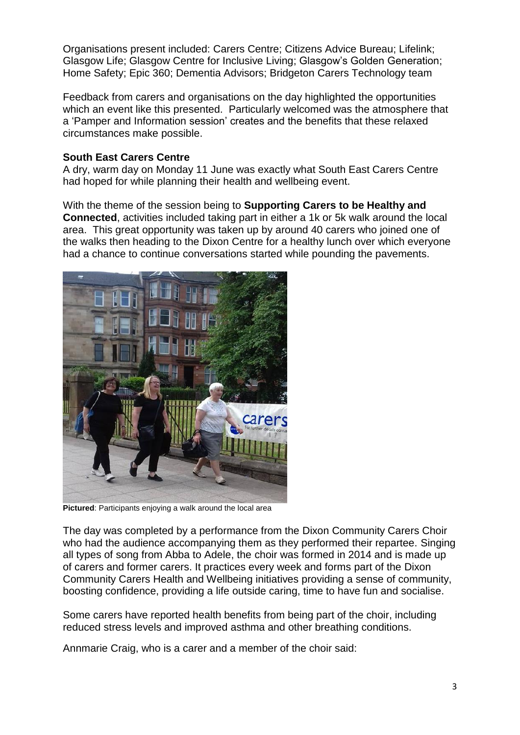Organisations present included: Carers Centre; Citizens Advice Bureau; Lifelink; Glasgow Life; Glasgow Centre for Inclusive Living; Glasgow's Golden Generation; Home Safety; Epic 360; Dementia Advisors; Bridgeton Carers Technology team

Feedback from carers and organisations on the day highlighted the opportunities which an event like this presented. Particularly welcomed was the atmosphere that a 'Pamper and Information session' creates and the benefits that these relaxed circumstances make possible.

#### **South East Carers Centre**

A dry, warm day on Monday 11 June was exactly what South East Carers Centre had hoped for while planning their health and wellbeing event.

With the theme of the session being to **Supporting Carers to be Healthy and Connected**, activities included taking part in either a 1k or 5k walk around the local area. This great opportunity was taken up by around 40 carers who joined one of the walks then heading to the Dixon Centre for a healthy lunch over which everyone had a chance to continue conversations started while pounding the pavements.



**Pictured**: Participants enjoying a walk around the local area

The day was completed by a performance from the Dixon Community Carers Choir who had the audience accompanying them as they performed their repartee. Singing all types of song from Abba to Adele, the choir was formed in 2014 and is made up of carers and former carers. It practices every week and forms part of the Dixon Community Carers Health and Wellbeing initiatives providing a sense of community, boosting confidence, providing a life outside caring, time to have fun and socialise.

Some carers have reported health benefits from being part of the choir, including reduced stress levels and improved asthma and other breathing conditions.

Annmarie Craig, who is a carer and a member of the choir said: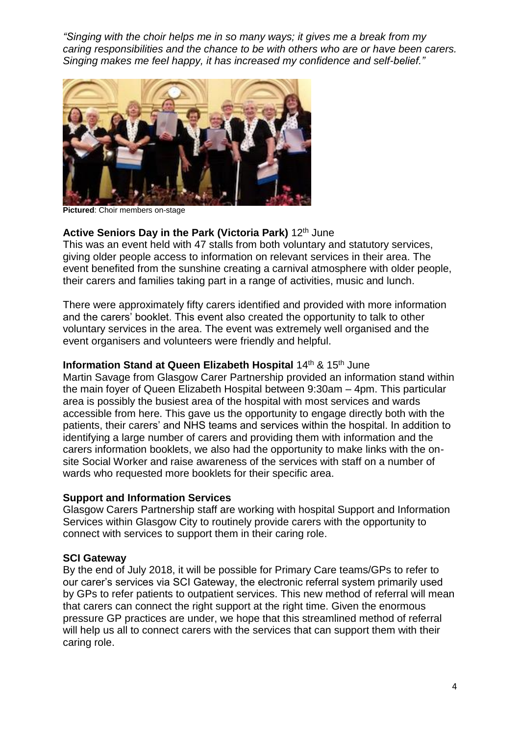*"Singing with the choir helps me in so many ways; it gives me a break from my caring responsibilities and the chance to be with others who are or have been carers. Singing makes me feel happy, it has increased my confidence and self-belief."*



**Pictured**: Choir members on-stage

## **Active Seniors Day in the Park (Victoria Park)** 12th June

This was an event held with 47 stalls from both voluntary and statutory services, giving older people access to information on relevant services in their area. The event benefited from the sunshine creating a carnival atmosphere with older people, their carers and families taking part in a range of activities, music and lunch.

There were approximately fifty carers identified and provided with more information and the carers' booklet. This event also created the opportunity to talk to other voluntary services in the area. The event was extremely well organised and the event organisers and volunteers were friendly and helpful.

#### **Information Stand at Queen Elizabeth Hospital 14th & 15th June**

Martin Savage from Glasgow Carer Partnership provided an information stand within the main foyer of Queen Elizabeth Hospital between 9:30am – 4pm. This particular area is possibly the busiest area of the hospital with most services and wards accessible from here. This gave us the opportunity to engage directly both with the patients, their carers' and NHS teams and services within the hospital. In addition to identifying a large number of carers and providing them with information and the carers information booklets, we also had the opportunity to make links with the onsite Social Worker and raise awareness of the services with staff on a number of wards who requested more booklets for their specific area.

#### **Support and Information Services**

Glasgow Carers Partnership staff are working with hospital Support and Information Services within Glasgow City to routinely provide carers with the opportunity to connect with services to support them in their caring role.

#### **SCI Gateway**

By the end of July 2018, it will be possible for Primary Care teams/GPs to refer to our carer's services via SCI Gateway, the electronic referral system primarily used by GPs to refer patients to outpatient services. This new method of referral will mean that carers can connect the right support at the right time. Given the enormous pressure GP practices are under, we hope that this streamlined method of referral will help us all to connect carers with the services that can support them with their caring role.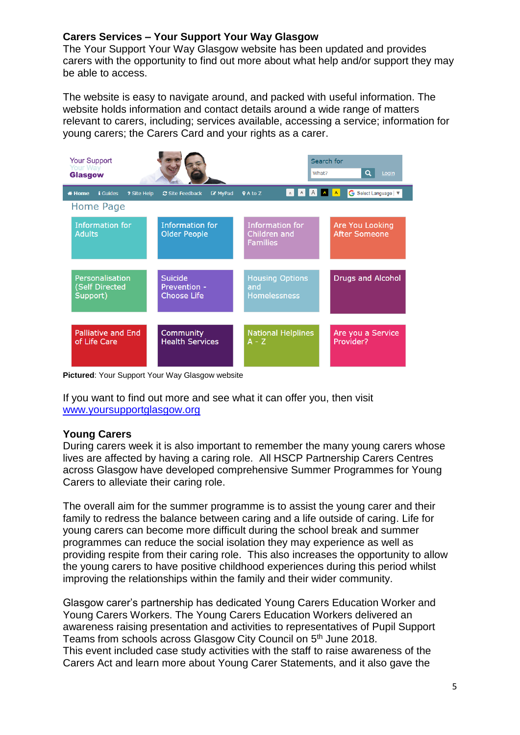# **Carers Services – Your Support Your Way Glasgow**

The Your Support Your Way Glasgow website has been updated and provides carers with the opportunity to find out more about what help and/or support they may be able to access.

The website is easy to navigate around, and packed with useful information. The website holds information and contact details around a wide range of matters relevant to carers, including; services available, accessing a service; information for young carers; the Carers Card and your rights as a carer.



**Pictured**: Your Support Your Way Glasgow website

If you want to find out more and see what it can offer you, then visit [www.yoursupportglasgow.org](http://www.yoursupportglasgow.org/)

# **Young Carers**

During carers week it is also important to remember the many young carers whose lives are affected by having a caring role. All HSCP Partnership Carers Centres across Glasgow have developed comprehensive Summer Programmes for Young Carers to alleviate their caring role.

The overall aim for the summer programme is to assist the young carer and their family to redress the balance between caring and a life outside of caring. Life for young carers can become more difficult during the school break and summer programmes can reduce the social isolation they may experience as well as providing respite from their caring role. This also increases the opportunity to allow the young carers to have positive childhood experiences during this period whilst improving the relationships within the family and their wider community.

Glasgow carer's partnership has dedicated Young Carers Education Worker and Young Carers Workers. The Young Carers Education Workers delivered an awareness raising presentation and activities to representatives of Pupil Support Teams from schools across Glasgow City Council on 5<sup>th</sup> June 2018. This event included case study activities with the staff to raise awareness of the Carers Act and learn more about Young Carer Statements, and it also gave the